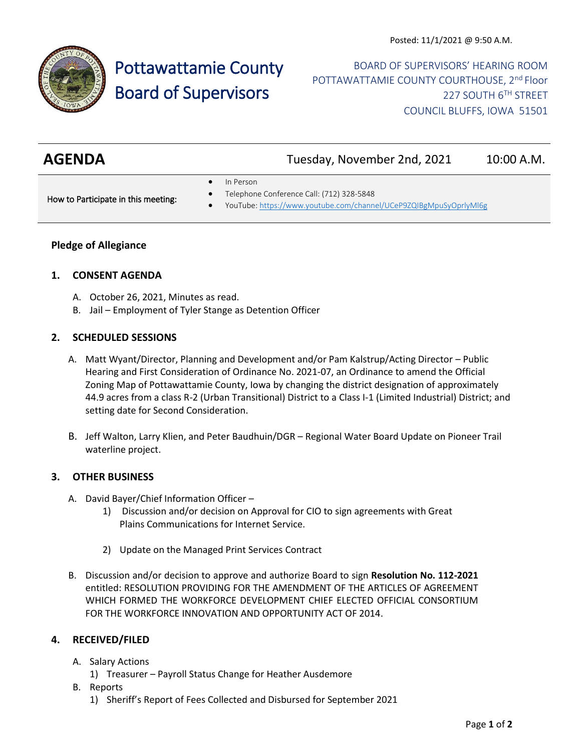

# Pottawattamie County Board of Supervisors

BOARD OF SUPERVISORS' HEARING ROOM POTTAWATTAMIE COUNTY COURTHOUSE, 2<sup>nd</sup> Floor 227 SOUTH 6TH STREET COUNCIL BLUFFS, IOWA 51501

| <b>AGENDA</b> | Tuesday, November 2nd, 2021 | 10:00 A.M. |
|---------------|-----------------------------|------------|
|               |                             |            |

• In Person

How to Participate in this meeting:

- Telephone Conference Call: (712) 328-5848
- YouTube[: https://www.youtube.com/channel/UCeP9ZQIBgMpuSyOprlyMl6g](https://www.youtube.com/channel/UCeP9ZQIBgMpuSyOprlyMl6g)

# **Pledge of Allegiance**

### **1. CONSENT AGENDA**

- A. October 26, 2021, Minutes as read.
- B. Jail Employment of Tyler Stange as Detention Officer

### **2. SCHEDULED SESSIONS**

- A. Matt Wyant/Director, Planning and Development and/or Pam Kalstrup/Acting Director Public Hearing and First Consideration of Ordinance No. 2021-07, an Ordinance to amend the Official Zoning Map of Pottawattamie County, Iowa by changing the district designation of approximately 44.9 acres from a class R-2 (Urban Transitional) District to a Class I-1 (Limited Industrial) District; and setting date for Second Consideration.
- B. Jeff Walton, Larry Klien, and Peter Baudhuin/DGR Regional Water Board Update on Pioneer Trail waterline project.

### **3. OTHER BUSINESS**

- A. David Bayer/Chief Information Officer
	- 1) Discussion and/or decision on Approval for CIO to sign agreements with Great Plains Communications for Internet Service.
	- 2) Update on the Managed Print Services Contract
- B. Discussion and/or decision to approve and authorize Board to sign **Resolution No. 112-2021** entitled: RESOLUTION PROVIDING FOR THE AMENDMENT OF THE ARTICLES OF AGREEMENT WHICH FORMED THE WORKFORCE DEVELOPMENT CHIEF ELECTED OFFICIAL CONSORTIUM FOR THE WORKFORCE INNOVATION AND OPPORTUNITY ACT OF 2014.

# **4. RECEIVED/FILED**

- A. Salary Actions
	- 1) Treasurer Payroll Status Change for Heather Ausdemore
- B. Reports
	- 1) Sheriff's Report of Fees Collected and Disbursed for September 2021